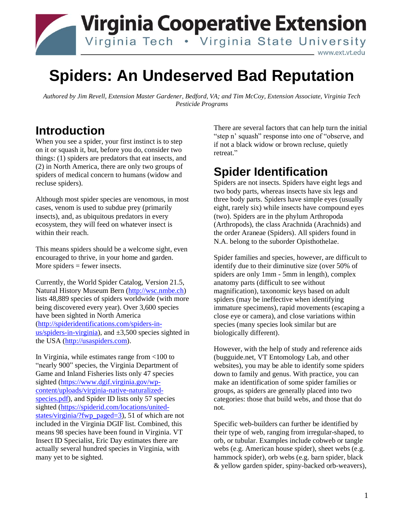

# **Spiders: An Undeserved Bad Reputation**

*Authored by Jim Revell, Extension Master Gardener, Bedford, VA; and Tim McCoy, Extension Associate, Virginia Tech Pesticide Programs*

#### **Introduction**

When you see a spider, your first instinct is to step on it or squash it, but, before you do, consider two things: (1) spiders are predators that eat insects, and (2) in North America, there are only two groups of spiders of medical concern to humans (widow and recluse spiders).

Although most spider species are venomous, in most cases, venom is used to subdue prey (primarily insects), and, as ubiquitous predators in every ecosystem, they will feed on whatever insect is within their reach.

This means spiders should be a welcome sight, even encouraged to thrive, in your home and garden. More spiders  $=$  fewer insects.

Currently, the World Spider Catalog, Version 21.5, Natural History Museum Bern [\(http://wsc.nmbe.ch\)](http://wsc.nmbe.ch/) lists 48,889 species of spiders worldwide (with more being discovered every year). Over 3,600 species have been sighted in North America [\(http://spideridentifications.com/spiders-in](http://spideridentifications.com/spiders-in-us/spiders-in-virginia)[us/spiders-in-virginia\)](http://spideridentifications.com/spiders-in-us/spiders-in-virginia), and  $\pm 3,500$  species sighted in the USA [\(http://usaspiders.com\)](http://usaspiders.com/).

In Virginia, while estimates range from <100 to "nearly 900" species, the Virginia Department of Game and Inland Fisheries lists only 47 species sighted [\(https://www.dgif.virginia.gov/wp](https://www.dgif.virginia.gov/wp-content/uploads/virginia-native-naturalized-species.pdf)[content/uploads/virginia-native-naturalized](https://www.dgif.virginia.gov/wp-content/uploads/virginia-native-naturalized-species.pdf)[species.pdf\)](https://www.dgif.virginia.gov/wp-content/uploads/virginia-native-naturalized-species.pdf), and Spider ID lists only 57 species sighted [\(https://spiderid.com/locations/united](https://spiderid.com/locations/united-states/virginia/?fwp_paged=3)[states/virginia/?fwp\\_paged=3\)](https://spiderid.com/locations/united-states/virginia/?fwp_paged=3), 51 of which are not included in the Virginia DGIF list. Combined, this means 98 species have been found in Virginia. VT Insect ID Specialist, Eric Day estimates there are actually several hundred species in Virginia, with many yet to be sighted.

There are several factors that can help turn the initial "step n' squash" response into one of "observe, and if not a black widow or brown recluse, quietly retreat."

### **Spider Identification**

Spiders are not insects. Spiders have eight legs and two body parts, whereas insects have six legs and three body parts. Spiders have simple eyes (usually eight, rarely six) while insects have compound eyes (two). Spiders are in the phylum Arthropoda (Arthropods), the class Arachnida (Arachnids) and the order Araneae (Spiders). All spiders found in N.A. belong to the suborder Opisthothelae.

Spider families and species, however, are difficult to identify due to their diminutive size (over 50% of spiders are only 1mm - 5mm in length), complex anatomy parts (difficult to see without magnification), taxonomic keys based on adult spiders (may be ineffective when identifying immature specimens), rapid movements (escaping a close eye or camera), and close variations within species (many species look similar but are biologically different).

However, with the help of study and reference aids (bugguide.net, VT Entomology Lab, and other websites), you may be able to identify some spiders down to family and genus. With practice, you can make an identification of some spider families or groups, as spiders are generally placed into two categories: those that build webs, and those that do not.

Specific web-builders can further be identified by their type of web, ranging from irregular-shaped, to orb, or tubular. Examples include cobweb or tangle webs (e.g. American house spider), sheet webs (e.g. hammock spider), orb webs (e.g. barn spider, black & yellow garden spider, spiny-backed orb-weavers),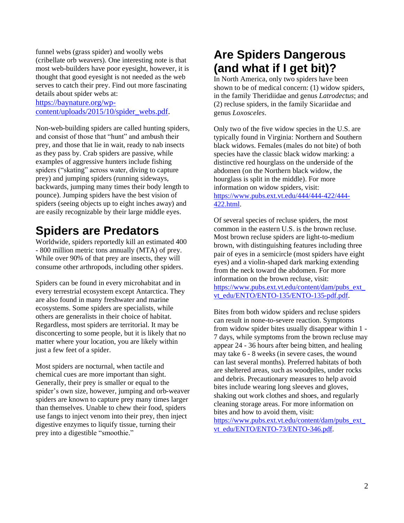funnel webs (grass spider) and woolly webs (cribellate orb weavers). One interesting note is that most web-builders have poor eyesight, however, it is thought that good eyesight is not needed as the web serves to catch their prey. Find out more fascinating details about spider webs at:

[https://baynature.org/wp](https://baynature.org/wp-content/uploads/2015/10/spider_webs.pdf)[content/uploads/2015/10/spider\\_webs.pdf.](https://baynature.org/wp-content/uploads/2015/10/spider_webs.pdf)

Non-web-building spiders are called hunting spiders, and consist of those that "hunt" and ambush their prey, and those that lie in wait, ready to nab insects as they pass by. Crab spiders are passive, while examples of aggressive hunters include fishing spiders ("skating" across water, diving to capture prey) and jumping spiders (running sideways, backwards, jumping many times their body length to pounce). Jumping spiders have the best vision of spiders (seeing objects up to eight inches away) and are easily recognizable by their large middle eyes.

#### **Spiders are Predators**

Worldwide, spiders reportedly kill an estimated 400 - 800 million metric tons annually (MTA) of prey. While over 90% of that prey are insects, they will consume other arthropods, including other spiders.

Spiders can be found in every microhabitat and in every terrestrial ecosystem except Antarctica. They are also found in many freshwater and marine ecosystems. Some spiders are specialists, while others are generalists in their choice of habitat. Regardless, most spiders are territorial. It may be disconcerting to some people, but it is likely that no matter where your location, you are likely within just a few feet of a spider.

Most spiders are nocturnal, when tactile and chemical cues are more important than sight. Generally, their prey is smaller or equal to the spider's own size, however, jumping and orb-weaver spiders are known to capture prey many times larger than themselves. Unable to chew their food, spiders use fangs to inject venom into their prey, then inject digestive enzymes to liquify tissue, turning their prey into a digestible "smoothie."

#### **Are Spiders Dangerous (and what if I get bit)?**

In North America, only two spiders have been shown to be of medical concern: (1) widow spiders, in the family Theridiidae and genus *Latrodectus*; and (2) recluse spiders, in the family Sicariidae and genus *Loxosceles*.

Only two of the five widow species in the U.S. are typically found in Virginia: Northern and Southern black widows. Females (males do not bite) of both species have the classic black widow marking: a distinctive red hourglass on the underside of the abdomen (on the Northern black widow, the hourglass is split in the middle). For more information on widow spiders, visit: [https://www.pubs.ext.vt.edu/444/444-422/444-](https://www.pubs.ext.vt.edu/444/444-422/444-422.html) [422.html.](https://www.pubs.ext.vt.edu/444/444-422/444-422.html)

Of several species of recluse spiders, the most common in the eastern U.S. is the brown recluse. Most brown recluse spiders are light-to-medium brown, with distinguishing features including three pair of eyes in a semicircle (most spiders have eight eyes) and a violin-shaped dark marking extending from the neck toward the abdomen. For more information on the brown recluse, visit: [https://www.pubs.ext.vt.edu/content/dam/pubs\\_ext\\_](https://www.pubs.ext.vt.edu/content/dam/pubs_ext_vt_edu/ENTO/ENTO-135/ENTO-135-pdf.pdf) [vt\\_edu/ENTO/ENTO-135/ENTO-135-pdf.pdf.](https://www.pubs.ext.vt.edu/content/dam/pubs_ext_vt_edu/ENTO/ENTO-135/ENTO-135-pdf.pdf)

Bites from both widow spiders and recluse spiders can result in none-to-severe reaction. Symptoms from widow spider bites usually disappear within 1 - 7 days, while symptoms from the brown recluse may appear 24 - 36 hours after being bitten, and healing may take 6 - 8 weeks (in severe cases, the wound can last several months). Preferred habitats of both are sheltered areas, such as woodpiles, under rocks and debris. Precautionary measures to help avoid bites include wearing long sleeves and gloves, shaking out work clothes and shoes, and regularly cleaning storage areas. For more information on bites and how to avoid them, visit:

[https://www.pubs.ext.vt.edu/content/dam/pubs\\_ext\\_](https://www.pubs.ext.vt.edu/content/dam/pubs_ext_vt_edu/ENTO/ENTO-73/ENTO-346.pdf) [vt\\_edu/ENTO/ENTO-73/ENTO-346.pdf.](https://www.pubs.ext.vt.edu/content/dam/pubs_ext_vt_edu/ENTO/ENTO-73/ENTO-346.pdf)